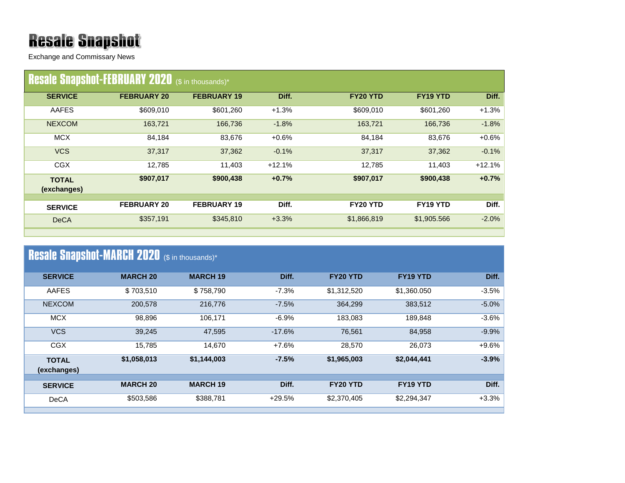## **Resale Snapshot**

Exchange and Commissary News

|                             | <b>Resale Snapshot-FEBRUARY 2020</b> (\$ in thousands)* |                    |          |             |                      |          |
|-----------------------------|---------------------------------------------------------|--------------------|----------|-------------|----------------------|----------|
| <b>SERVICE</b>              | <b>FEBRUARY 20</b>                                      | <b>FEBRUARY 19</b> | Diff.    | FY20 YTD    | FY19 YTD             | Diff.    |
| AAFES                       | \$609,010                                               | \$601,260          | $+1.3%$  | \$609,010   | \$601,260            | $+1.3%$  |
| <b>NEXCOM</b>               | 163,721                                                 | 166,736            | $-1.8%$  | 163,721     | 166,736              | $-1.8%$  |
| <b>MCX</b>                  | 84,184                                                  | 83,676             | $+0.6%$  | 84,184      | 83,676               | $+0.6%$  |
| <b>VCS</b>                  | 37,317                                                  | 37,362             | $-0.1%$  | 37,317      | 37,362               | $-0.1%$  |
| <b>CGX</b>                  | 12,785                                                  | 11,403             | $+12.1%$ | 12,785      | 11.403               | $+12.1%$ |
| <b>TOTAL</b><br>(exchanges) | \$907,017                                               | \$900,438          | $+0.7%$  | \$907,017   | \$900,438            | $+0.7%$  |
| <b>SERVICE</b>              | <b>FEBRUARY 20</b>                                      | <b>FEBRUARY 19</b> | Diff.    | FY20 YTD    | FY <sub>19</sub> YTD | Diff.    |
| <b>DeCA</b>                 | \$357,191                                               | \$345,810          | $+3.3%$  | \$1,866,819 | \$1,905.566          | $-2.0%$  |

| <b>Resale Snapshot-MARCH 2020</b> (\$ in thousands)* |                 |                 |          |             |             |         |  |  |
|------------------------------------------------------|-----------------|-----------------|----------|-------------|-------------|---------|--|--|
| <b>SERVICE</b>                                       | <b>MARCH 20</b> | <b>MARCH 19</b> | Diff.    | FY20 YTD    | FY19 YTD    | Diff.   |  |  |
| AAFES                                                | \$703,510       | \$758,790       | $-7.3%$  | \$1,312,520 | \$1,360.050 | $-3.5%$ |  |  |
| <b>NEXCOM</b>                                        | 200,578         | 216,776         | $-7.5%$  | 364,299     | 383,512     | $-5.0%$ |  |  |
| <b>MCX</b>                                           | 98,896          | 106,171         | $-6.9%$  | 183,083     | 189,848     | $-3.6%$ |  |  |
| <b>VCS</b>                                           | 39,245          | 47,595          | $-17.6%$ | 76,561      | 84,958      | $-9.9%$ |  |  |
| <b>CGX</b>                                           | 15,785          | 14,670          | $+7.6%$  | 28,570      | 26,073      | $+9.6%$ |  |  |
| <b>TOTAL</b><br>(exchanges)                          | \$1,058,013     | \$1,144,003     | $-7.5%$  | \$1,965,003 | \$2,044,441 | $-3.9%$ |  |  |
| <b>SERVICE</b>                                       | <b>MARCH 20</b> | <b>MARCH 19</b> | Diff.    | FY20 YTD    | FY19 YTD    | Diff.   |  |  |
| <b>DeCA</b>                                          | \$503,586       | \$388,781       | $+29.5%$ | \$2,370,405 | \$2,294,347 | $+3.3%$ |  |  |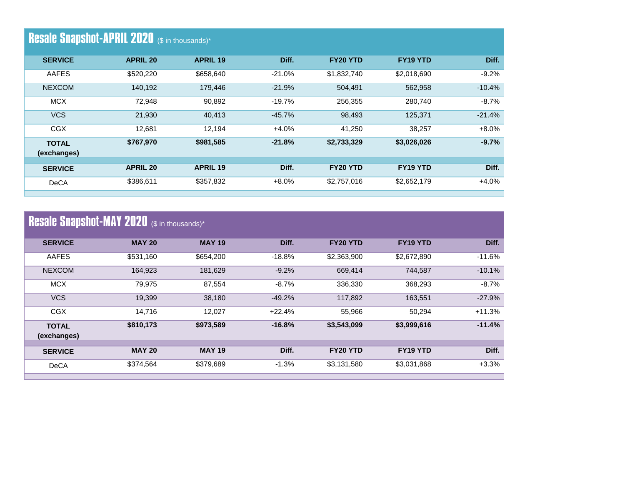| <b>Resale Snapshot-APRIL 2020</b> (\$ in thousands)* |                 |                 |           |             |                 |          |  |
|------------------------------------------------------|-----------------|-----------------|-----------|-------------|-----------------|----------|--|
| <b>SERVICE</b>                                       | <b>APRIL 20</b> | <b>APRIL 19</b> | Diff.     | FY20 YTD    | <b>FY19 YTD</b> | Diff.    |  |
| AAFES                                                | \$520,220       | \$658,640       | $-21.0%$  | \$1,832,740 | \$2,018,690     | $-9.2%$  |  |
| <b>NEXCOM</b>                                        | 140,192         | 179,446         | $-21.9%$  | 504,491     | 562,958         | $-10.4%$ |  |
| <b>MCX</b>                                           | 72,948          | 90,892          | $-19.7\%$ | 256,355     | 280,740         | $-8.7\%$ |  |
| <b>VCS</b>                                           | 21,930          | 40,413          | $-45.7%$  | 98,493      | 125,371         | $-21.4%$ |  |
| <b>CGX</b>                                           | 12,681          | 12,194          | $+4.0%$   | 41,250      | 38,257          | $+8.0%$  |  |
| <b>TOTAL</b><br>(exchanges)                          | \$767,970       | \$981,585       | $-21.8%$  | \$2,733,329 | \$3,026,026     | $-9.7%$  |  |
| <b>SERVICE</b>                                       | <b>APRIL 20</b> | <b>APRIL 19</b> | Diff.     | FY20 YTD    | <b>FY19 YTD</b> | Diff.    |  |
|                                                      |                 |                 |           |             |                 |          |  |
| DeCA                                                 | \$386,611       | \$357,832       | $+8.0%$   | \$2,757,016 | \$2,652,179     | $+4.0%$  |  |

|  | <b>Resale Snapshot-MAY 2020</b> (\$ in thousands)* |  |  |
|--|----------------------------------------------------|--|--|
|--|----------------------------------------------------|--|--|

| <b>MAY 20</b> | <b>MAY 19</b> | Diff.    | FY20 YTD    | FY19 YTD    | Diff.    |
|---------------|---------------|----------|-------------|-------------|----------|
| \$531,160     | \$654,200     | $-18.8%$ | \$2,363,900 | \$2,672,890 | $-11.6%$ |
| 164,923       | 181,629       | $-9.2%$  | 669,414     | 744.587     | $-10.1%$ |
| 79,975        | 87,554        | $-8.7%$  | 336,330     | 368,293     | $-8.7%$  |
| 19,399        | 38,180        | $-49.2%$ | 117,892     | 163,551     | $-27.9%$ |
| 14.716        | 12,027        | $+22.4%$ | 55,966      | 50,294      | $+11.3%$ |
| \$810,173     | \$973,589     | $-16.8%$ | \$3,543,099 | \$3,999,616 | $-11.4%$ |
| <b>MAY 20</b> | <b>MAY 19</b> | Diff.    | FY20 YTD    | FY19 YTD    | Diff.    |
| \$374,564     | \$379,689     | $-1.3%$  | \$3,131,580 | \$3,031,868 | $+3.3%$  |
|               |               |          |             |             |          |